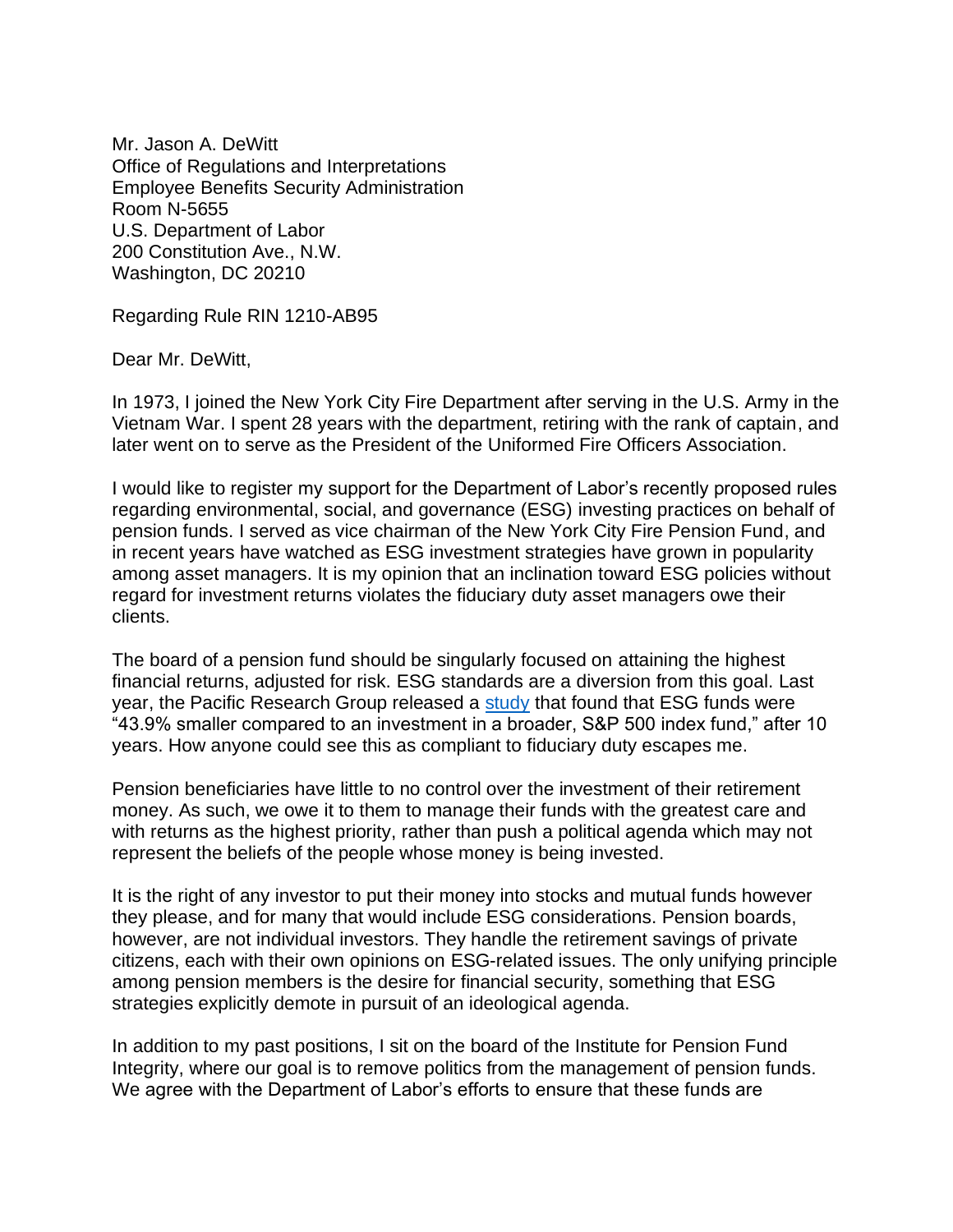Mr. Jason A. DeWitt Office of Regulations and Interpretations Employee Benefits Security Administration Room N-5655 U.S. Department of Labor 200 Constitution Ave., N.W. Washington, DC 20210

Regarding Rule RIN 1210-AB95

Dear Mr. DeWitt,

In 1973, I joined the New York City Fire Department after serving in the U.S. Army in the Vietnam War. I spent 28 years with the department, retiring with the rank of captain, and later went on to serve as the President of the Uniformed Fire Officers Association.

I would like to register my support for the Department of Labor's recently proposed rules regarding environmental, social, and governance (ESG) investing practices on behalf of pension funds. I served as vice chairman of the New York City Fire Pension Fund, and in recent years have watched as ESG investment strategies have grown in popularity among asset managers. It is my opinion that an inclination toward ESG policies without regard for investment returns violates the fiduciary duty asset managers owe their clients.

The board of a pension fund should be singularly focused on attaining the highest financial returns, adjusted for risk. ESG standards are a diversion from this goal. Last year, the Pacific Research Group released a [study](https://www.pacificresearch.org/new-study-finds-esg-funds-underperform-broader-investment-funds-over-long-term/) that found that ESG funds were "43.9% smaller compared to an investment in a broader, S&P 500 index fund," after 10 years. How anyone could see this as compliant to fiduciary duty escapes me.

Pension beneficiaries have little to no control over the investment of their retirement money. As such, we owe it to them to manage their funds with the greatest care and with returns as the highest priority, rather than push a political agenda which may not represent the beliefs of the people whose money is being invested.

It is the right of any investor to put their money into stocks and mutual funds however they please, and for many that would include ESG considerations. Pension boards, however, are not individual investors. They handle the retirement savings of private citizens, each with their own opinions on ESG-related issues. The only unifying principle among pension members is the desire for financial security, something that ESG strategies explicitly demote in pursuit of an ideological agenda.

In addition to my past positions, I sit on the board of the Institute for Pension Fund Integrity, where our goal is to remove politics from the management of pension funds. We agree with the Department of Labor's efforts to ensure that these funds are